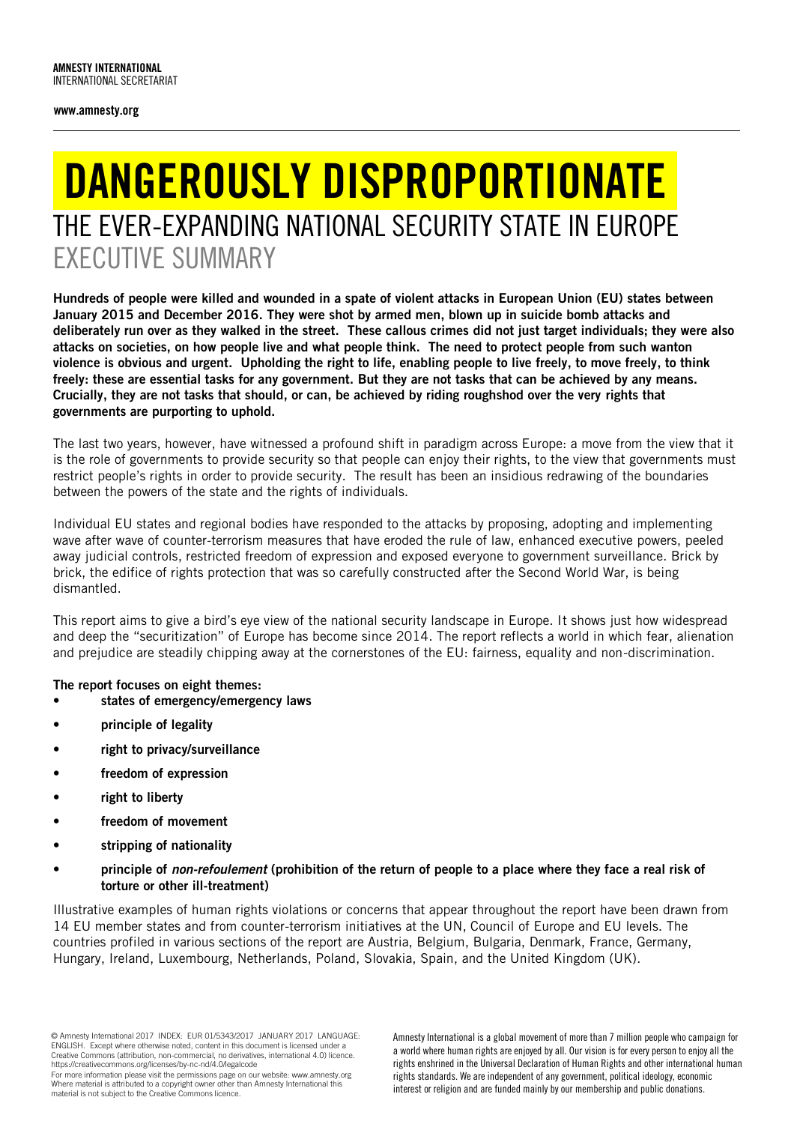## DANGEROUSLY DISPROPORTIONATE THE EVER-EXPANDING NATIONAL SECURITY STATE IN EUROPE EXECUTIVE SUMMARY

Hundreds of people were killed and wounded in a spate of violent attacks in European Union (EU) states between January 2015 and December 2016. They were shot by armed men, blown up in suicide bomb attacks and deliberately run over as they walked in the street. These callous crimes did not just target individuals; they were also attacks on societies, on how people live and what people think. The need to protect people from such wanton violence is obvious and urgent. Upholding the right to life, enabling people to live freely, to move freely, to think freely: these are essential tasks for any government. But they are not tasks that can be achieved by any means. Crucially, they are not tasks that should, or can, be achieved by riding roughshod over the very rights that governments are purporting to uphold.

The last two years, however, have witnessed a profound shift in paradigm across Europe: a move from the view that it is the role of governments to provide security so that people can enjoy their rights, to the view that governments must restrict people's rights in order to provide security. The result has been an insidious redrawing of the boundaries between the powers of the state and the rights of individuals.

Individual EU states and regional bodies have responded to the attacks by proposing, adopting and implementing wave after wave of counter-terrorism measures that have eroded the rule of law, enhanced executive powers, peeled away judicial controls, restricted freedom of expression and exposed everyone to government surveillance. Brick by brick, the edifice of rights protection that was so carefully constructed after the Second World War, is being dismantled.

This report aims to give a bird's eye view of the national security landscape in Europe. It shows just how widespread and deep the "securitization" of Europe has become since 2014. The report reflects a world in which fear, alienation and prejudice are steadily chipping away at the cornerstones of the EU: fairness, equality and non-discrimination.

## The report focuses on eight themes:

- states of emergency/emergency laws
- principle of legality
- right to privacy/surveillance
- freedom of expression
- right to liberty
- freedom of movement
- stripping of nationality
- principle of *non-refoulement* (prohibition of the return of people to a place where they face a real risk of torture or other ill-treatment)

Illustrative examples of human rights violations or concerns that appear throughout the report have been drawn from 14 EU member states and from counter-terrorism initiatives at the UN, Council of Europe and EU levels. The countries profiled in various sections of the report are Austria, Belgium, Bulgaria, Denmark, France, Germany, Hungary, Ireland, Luxembourg, Netherlands, Poland, Slovakia, Spain, and the United Kingdom (UK).

<sup>©</sup> Amnesty International 2017 INDEX: EUR 01/5343/2017 JANUARY 2017 LANGUAGE: ENGLISH. Except where otherwise noted, content in this document is licensed under a Creative Commons (attribution, non-commercial, no derivatives, international 4.0) licence. https://creativecommons.org/licenses/by-nc-nd/4.0/legalcode

For more information please visit the permissions page on our website: www.amnesty.org Where material is attributed to a copyright owner other than Amnesty International this material is not subject to the Creative Commons licence.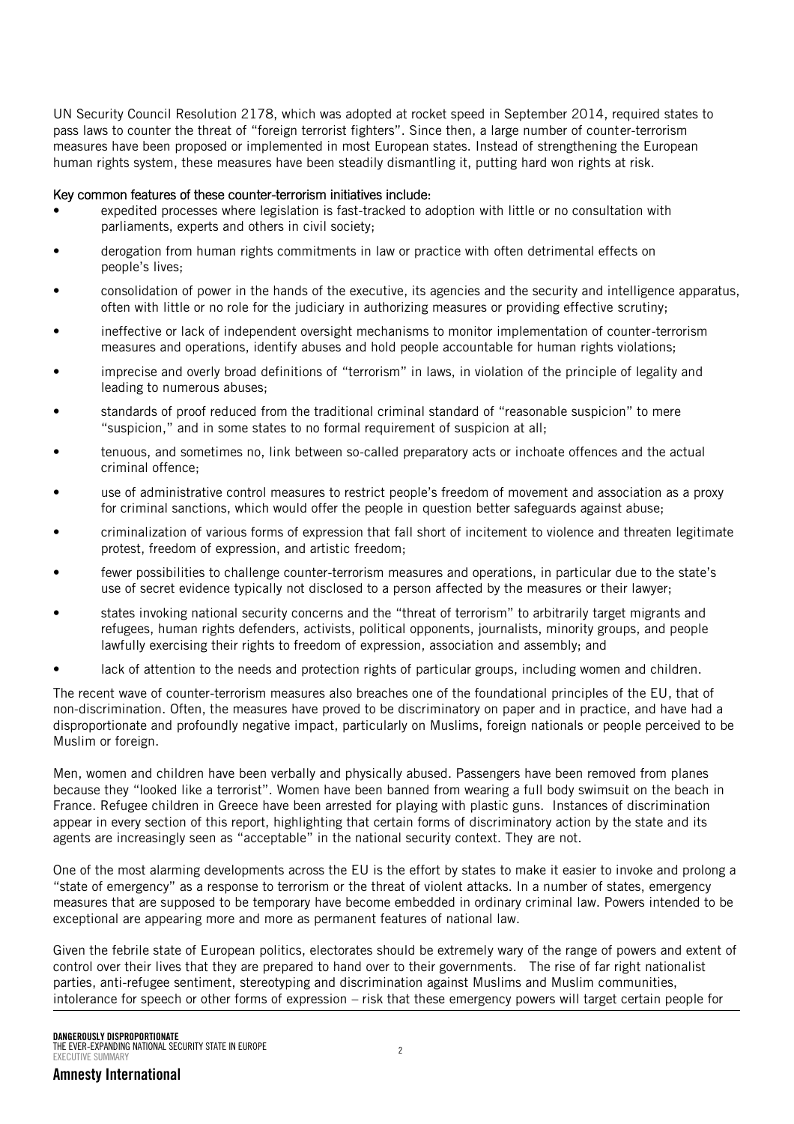UN Security Council Resolution 2178, which was adopted at rocket speed in September 2014, required states to pass laws to counter the threat of "foreign terrorist fighters". Since then, a large number of counter-terrorism measures have been proposed or implemented in most European states. Instead of strengthening the European human rights system, these measures have been steadily dismantling it, putting hard won rights at risk.

## Key common features of these counter-terrorism initiatives include:

- expedited processes where legislation is fast-tracked to adoption with little or no consultation with parliaments, experts and others in civil society;
- derogation from human rights commitments in law or practice with often detrimental effects on people's lives;
- consolidation of power in the hands of the executive, its agencies and the security and intelligence apparatus, often with little or no role for the judiciary in authorizing measures or providing effective scrutiny;
- ineffective or lack of independent oversight mechanisms to monitor implementation of counter-terrorism measures and operations, identify abuses and hold people accountable for human rights violations;
- imprecise and overly broad definitions of "terrorism" in laws, in violation of the principle of legality and leading to numerous abuses;
- standards of proof reduced from the traditional criminal standard of "reasonable suspicion" to mere "suspicion," and in some states to no formal requirement of suspicion at all;
- tenuous, and sometimes no, link between so-called preparatory acts or inchoate offences and the actual criminal offence;
- use of administrative control measures to restrict people's freedom of movement and association as a proxy for criminal sanctions, which would offer the people in question better safeguards against abuse;
- criminalization of various forms of expression that fall short of incitement to violence and threaten legitimate protest, freedom of expression, and artistic freedom;
- fewer possibilities to challenge counter-terrorism measures and operations, in particular due to the state's use of secret evidence typically not disclosed to a person affected by the measures or their lawyer;
- states invoking national security concerns and the "threat of terrorism" to arbitrarily target migrants and refugees, human rights defenders, activists, political opponents, journalists, minority groups, and people lawfully exercising their rights to freedom of expression, association and assembly; and
- lack of attention to the needs and protection rights of particular groups, including women and children.

The recent wave of counter-terrorism measures also breaches one of the foundational principles of the EU, that of non-discrimination. Often, the measures have proved to be discriminatory on paper and in practice, and have had a disproportionate and profoundly negative impact, particularly on Muslims, foreign nationals or people perceived to be Muslim or foreign.

Men, women and children have been verbally and physically abused. Passengers have been removed from planes because they "looked like a terrorist". Women have been banned from wearing a full body swimsuit on the beach in France. Refugee children in Greece have been arrested for playing with plastic guns. Instances of discrimination appear in every section of this report, highlighting that certain forms of discriminatory action by the state and its agents are increasingly seen as "acceptable" in the national security context. They are not.

One of the most alarming developments across the EU is the effort by states to make it easier to invoke and prolong a "state of emergency" as a response to terrorism or the threat of violent attacks. In a number of states, emergency measures that are supposed to be temporary have become embedded in ordinary criminal law. Powers intended to be exceptional are appearing more and more as permanent features of national law.

Given the febrile state of European politics, electorates should be extremely wary of the range of powers and extent of control over their lives that they are prepared to hand over to their governments. The rise of far right nationalist parties, anti-refugee sentiment, stereotyping and discrimination against Muslims and Muslim communities, intolerance for speech or other forms of expression – risk that these emergency powers will target certain people for